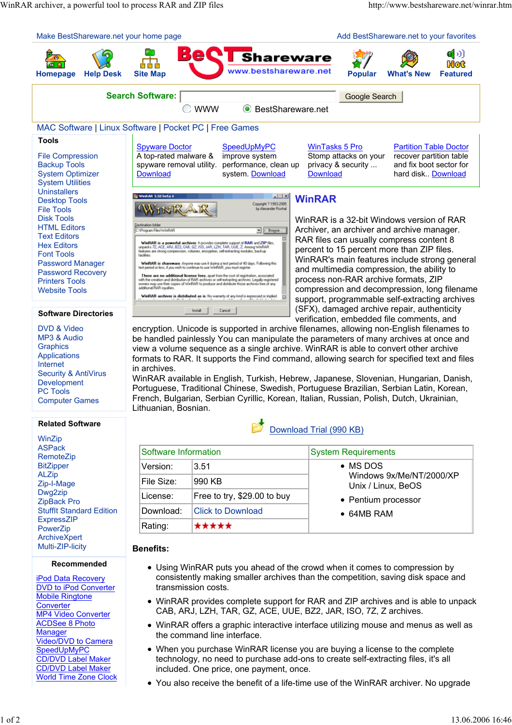